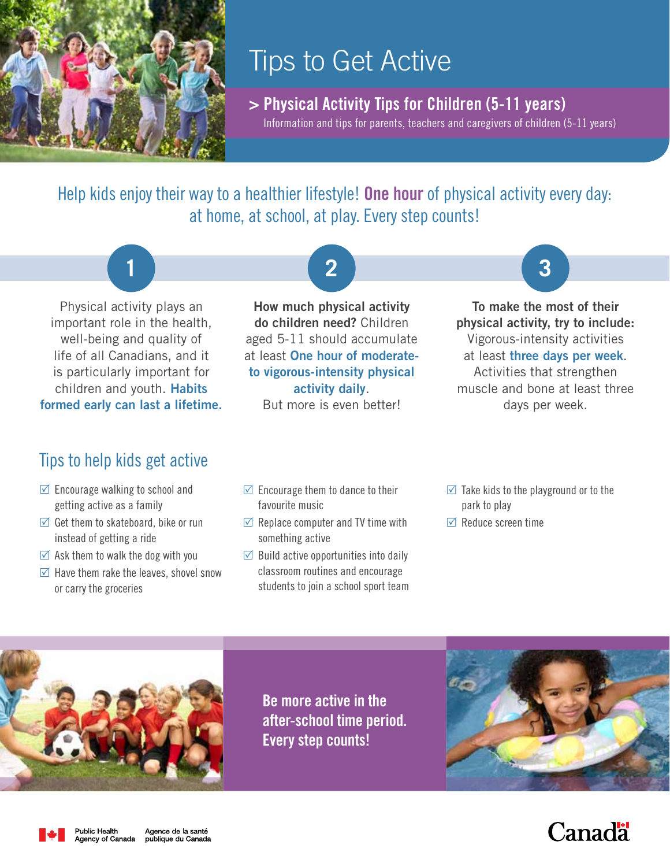

# Tips to Get Active

> Physical Activity Tips for Children (5-11 years) Information and tips for parents, teachers and caregivers of children (5-11 years)

Help kids enjoy their way to a healthier lifestyle! **One hour** of physical activity every day: at home, at school, at play. Every step counts!

**2**

### Physical activity plays an important role in the health, well-being and quality of life of all Canadians, and it is particularly important for children and youth. Habits formed early can last a lifetime.

**1**

## Tips to help kids get active

- $\triangledown$  Encourage walking to school and getting active as a family
- $\boxdot$  Get them to skateboard, bike or run instead of getting a ride
- $\boxtimes$  Ask them to walk the dog with you
- $\sqrt{2}$  Have them rake the leaves, shovel snow or carry the groceries

How much physical activity do children need? Children aged 5-11 should accumulate at least One hour of moderateto vigorous-intensity physical activity daily. But more is even better!

To make the most of their physical activity, try to include: Vigorous-intensity activities at least three days per week. Activities that strengthen muscle and bone at least three days per week.

**3**

- $\triangledown$  Encourage them to dance to their favourite music
- $\triangledown$  Replace computer and TV time with something active
- $\boxdot$  Build active opportunities into daily classroom routines and encourage students to join a school sport team
- $\triangleright$  Take kids to the playground or to the park to play
- $\boxdot$  Reduce screen time



Be more active in the after-school time period. Every step counts!